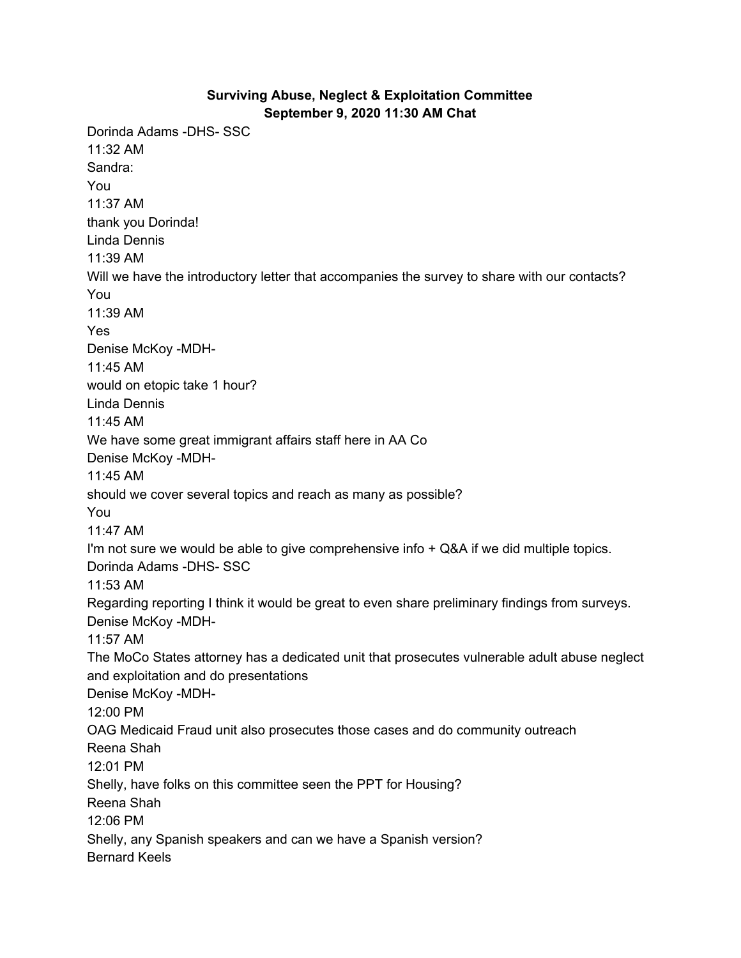## **Surviving Abuse, Neglect & Exploitation Committee September 9, 2020 11:30 AM Chat**

Dorinda Adams -DHS- SSC 11:32 AM Sandra: You 11:37 AM thank you Dorinda! Linda Dennis 11:39 AM Will we have the introductory letter that accompanies the survey to share with our contacts? You 11:39 AM Yes Denise McKoy -MDH-11:45 AM would on etopic take 1 hour? Linda Dennis 11:45 AM We have some great immigrant affairs staff here in AA Co Denise McKoy -MDH-11:45 AM should we cover several topics and reach as many as possible? You 11:47 AM I'm not sure we would be able to give comprehensive info + Q&A if we did multiple topics. Dorinda Adams -DHS- SSC 11:53 AM Regarding reporting I think it would be great to even share preliminary findings from surveys. Denise McKoy -MDH-11:57 AM The MoCo States attorney has a dedicated unit that prosecutes vulnerable adult abuse neglect and exploitation and do presentations Denise McKoy -MDH-12:00 PM OAG Medicaid Fraud unit also prosecutes those cases and do community outreach Reena Shah 12:01 PM Shelly, have folks on this committee seen the PPT for Housing? Reena Shah 12:06 PM Shelly, any Spanish speakers and can we have a Spanish version? Bernard Keels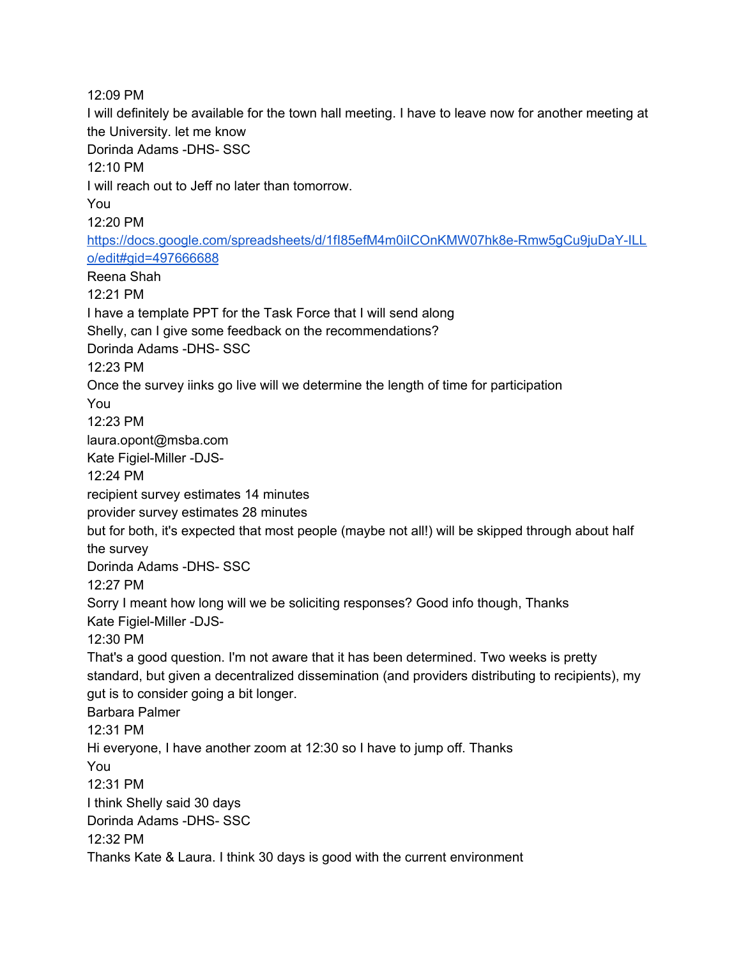12:09 PM I will definitely be available for the town hall meeting. I have to leave now for another meeting at the University. let me know Dorinda Adams -DHS- SSC 12:10 PM I will reach out to Jeff no later than tomorrow. You 12:20 PM [https://docs.google.com/spreadsheets/d/1fI85efM4m0iICOnKMW07hk8e-Rmw5gCu9juDaY-ILL](https://meet.google.com/linkredirect?authuser=2&dest=https%3A%2F%2Fdocs.google.com%2Fspreadsheets%2Fd%2F1fI85efM4m0iICOnKMW07hk8e-Rmw5gCu9juDaY-ILLo%2Fedit%23gid%3D497666688) [o/edit#gid=497666688](https://meet.google.com/linkredirect?authuser=2&dest=https%3A%2F%2Fdocs.google.com%2Fspreadsheets%2Fd%2F1fI85efM4m0iICOnKMW07hk8e-Rmw5gCu9juDaY-ILLo%2Fedit%23gid%3D497666688) Reena Shah 12:21 PM I have a template PPT for the Task Force that I will send along Shelly, can I give some feedback on the recommendations? Dorinda Adams -DHS- SSC 12:23 PM Once the survey iinks go live will we determine the length of time for participation You 12:23 PM laura.opont@msba.com Kate Figiel-Miller -DJS-12:24 PM recipient survey estimates 14 minutes provider survey estimates 28 minutes but for both, it's expected that most people (maybe not all!) will be skipped through about half the survey Dorinda Adams -DHS- SSC 12:27 PM Sorry I meant how long will we be soliciting responses? Good info though, Thanks Kate Figiel-Miller -DJS-12:30 PM That's a good question. I'm not aware that it has been determined. Two weeks is pretty standard, but given a decentralized dissemination (and providers distributing to recipients), my gut is to consider going a bit longer. Barbara Palmer 12:31 PM Hi everyone, I have another zoom at 12:30 so I have to jump off. Thanks You 12:31 PM I think Shelly said 30 days Dorinda Adams -DHS- SSC 12:32 PM Thanks Kate & Laura. I think 30 days is good with the current environment